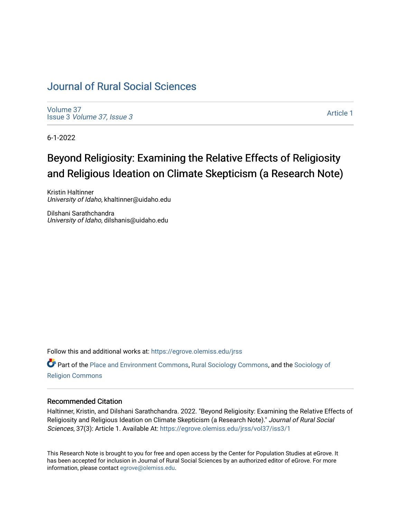## [Journal of Rural Social Sciences](https://egrove.olemiss.edu/jrss)

[Volume 37](https://egrove.olemiss.edu/jrss/vol37) Issue 3 [Volume 37, Issue 3](https://egrove.olemiss.edu/jrss/vol37/iss3)

[Article 1](https://egrove.olemiss.edu/jrss/vol37/iss3/1) 

6-1-2022

# Beyond Religiosity: Examining the Relative Effects of Religiosity and Religious Ideation on Climate Skepticism (a Research Note)

Kristin Haltinner University of Idaho, khaltinner@uidaho.edu

Dilshani Sarathchandra University of Idaho, dilshanis@uidaho.edu

Follow this and additional works at: [https://egrove.olemiss.edu/jrss](https://egrove.olemiss.edu/jrss?utm_source=egrove.olemiss.edu%2Fjrss%2Fvol37%2Fiss3%2F1&utm_medium=PDF&utm_campaign=PDFCoverPages) 

Part of the [Place and Environment Commons,](https://network.bepress.com/hgg/discipline/424?utm_source=egrove.olemiss.edu%2Fjrss%2Fvol37%2Fiss3%2F1&utm_medium=PDF&utm_campaign=PDFCoverPages) [Rural Sociology Commons,](https://network.bepress.com/hgg/discipline/428?utm_source=egrove.olemiss.edu%2Fjrss%2Fvol37%2Fiss3%2F1&utm_medium=PDF&utm_campaign=PDFCoverPages) and the [Sociology of](https://network.bepress.com/hgg/discipline/1365?utm_source=egrove.olemiss.edu%2Fjrss%2Fvol37%2Fiss3%2F1&utm_medium=PDF&utm_campaign=PDFCoverPages)  [Religion Commons](https://network.bepress.com/hgg/discipline/1365?utm_source=egrove.olemiss.edu%2Fjrss%2Fvol37%2Fiss3%2F1&utm_medium=PDF&utm_campaign=PDFCoverPages)

#### Recommended Citation

Haltinner, Kristin, and Dilshani Sarathchandra. 2022. "Beyond Religiosity: Examining the Relative Effects of Religiosity and Religious Ideation on Climate Skepticism (a Research Note)." Journal of Rural Social Sciences, 37(3): Article 1. Available At: [https://egrove.olemiss.edu/jrss/vol37/iss3/1](https://egrove.olemiss.edu/jrss/vol37/iss3/1?utm_source=egrove.olemiss.edu%2Fjrss%2Fvol37%2Fiss3%2F1&utm_medium=PDF&utm_campaign=PDFCoverPages) 

This Research Note is brought to you for free and open access by the Center for Population Studies at eGrove. It has been accepted for inclusion in Journal of Rural Social Sciences by an authorized editor of eGrove. For more information, please contact [egrove@olemiss.edu](mailto:egrove@olemiss.edu).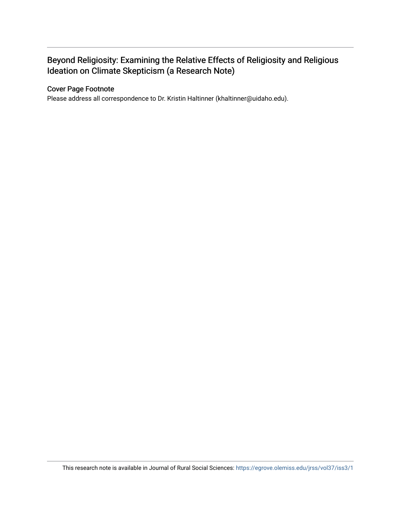## Beyond Religiosity: Examining the Relative Effects of Religiosity and Religious Ideation on Climate Skepticism (a Research Note)

#### Cover Page Footnote

Please address all correspondence to Dr. Kristin Haltinner (khaltinner@uidaho.edu).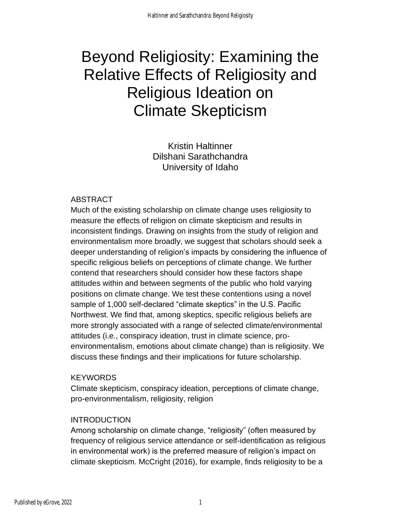# Beyond Religiosity: Examining the Relative Effects of Religiosity and Religious Ideation on Climate Skepticism

Kristin Haltinner Dilshani Sarathchandra University of Idaho

## ABSTRACT

Much of the existing scholarship on climate change uses religiosity to measure the effects of religion on climate skepticism and results in inconsistent findings. Drawing on insights from the study of religion and environmentalism more broadly, we suggest that scholars should seek a deeper understanding of religion's impacts by considering the influence of specific religious beliefs on perceptions of climate change. We further contend that researchers should consider how these factors shape attitudes within and between segments of the public who hold varying positions on climate change. We test these contentions using a novel sample of 1,000 self-declared "climate skeptics" in the U.S. Pacific Northwest. We find that, among skeptics, specific religious beliefs are more strongly associated with a range of selected climate/environmental attitudes (i.e., conspiracy ideation, trust in climate science, proenvironmentalism, emotions about climate change) than is religiosity. We discuss these findings and their implications for future scholarship.

## **KEYWORDS**

Climate skepticism, conspiracy ideation, perceptions of climate change, pro-environmentalism, religiosity, religion

## INTRODUCTION

Among scholarship on climate change, "religiosity" (often measured by frequency of religious service attendance or self-identification as religious in environmental work) is the preferred measure of religion's impact on climate skepticism. McCright (2016), for example, finds religiosity to be a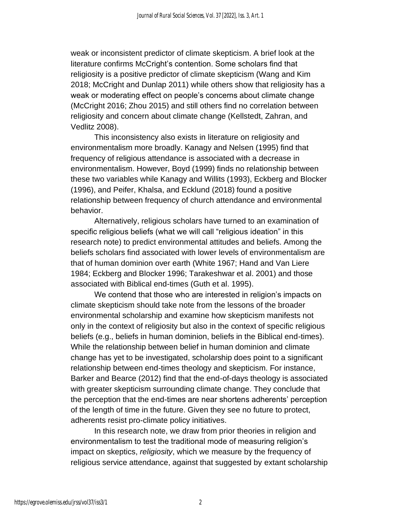weak or inconsistent predictor of climate skepticism. A brief look at the literature confirms McCright's contention. Some scholars find that religiosity is a positive predictor of climate skepticism (Wang and Kim 2018; McCright and Dunlap 2011) while others show that religiosity has a weak or moderating effect on people's concerns about climate change (McCright 2016; Zhou 2015) and still others find no correlation between religiosity and concern about climate change (Kellstedt, Zahran, and Vedlitz 2008).

This inconsistency also exists in literature on religiosity and environmentalism more broadly. Kanagy and Nelsen (1995) find that frequency of religious attendance is associated with a decrease in environmentalism. However, Boyd (1999) finds no relationship between these two variables while Kanagy and Willits (1993), Eckberg and Blocker (1996), and Peifer, Khalsa, and Ecklund (2018) found a positive relationship between frequency of church attendance and environmental behavior.

Alternatively, religious scholars have turned to an examination of specific religious beliefs (what we will call "religious ideation" in this research note) to predict environmental attitudes and beliefs. Among the beliefs scholars find associated with lower levels of environmentalism are that of human dominion over earth (White 1967; Hand and Van Liere 1984; Eckberg and Blocker 1996; Tarakeshwar et al. 2001) and those associated with Biblical end-times (Guth et al. 1995).

We contend that those who are interested in religion's impacts on climate skepticism should take note from the lessons of the broader environmental scholarship and examine how skepticism manifests not only in the context of religiosity but also in the context of specific religious beliefs (e.g., beliefs in human dominion, beliefs in the Biblical end-times). While the relationship between belief in human dominion and climate change has yet to be investigated, scholarship does point to a significant relationship between end-times theology and skepticism. For instance, Barker and Bearce (2012) find that the end-of-days theology is associated with greater skepticism surrounding climate change. They conclude that the perception that the end-times are near shortens adherents' perception of the length of time in the future. Given they see no future to protect, adherents resist pro-climate policy initiatives.

In this research note, we draw from prior theories in religion and environmentalism to test the traditional mode of measuring religion's impact on skeptics, *religiosity*, which we measure by the frequency of religious service attendance, against that suggested by extant scholarship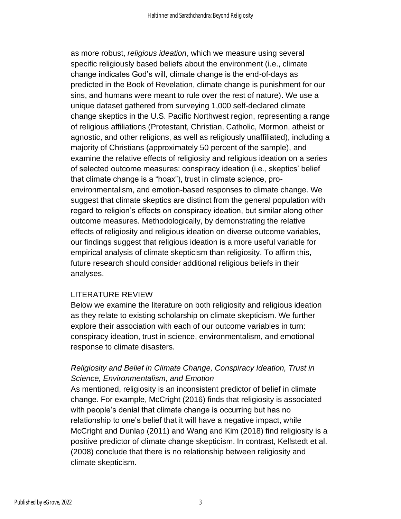as more robust, *religious ideation*, which we measure using several specific religiously based beliefs about the environment (i.e., climate change indicates God's will, climate change is the end-of-days as predicted in the Book of Revelation, climate change is punishment for our sins, and humans were meant to rule over the rest of nature). We use a unique dataset gathered from surveying 1,000 self-declared climate change skeptics in the U.S. Pacific Northwest region, representing a range of religious affiliations (Protestant, Christian, Catholic, Mormon, atheist or agnostic, and other religions, as well as religiously unaffiliated), including a majority of Christians (approximately 50 percent of the sample), and examine the relative effects of religiosity and religious ideation on a series of selected outcome measures: conspiracy ideation (i.e., skeptics' belief that climate change is a "hoax"), trust in climate science, proenvironmentalism, and emotion-based responses to climate change. We suggest that climate skeptics are distinct from the general population with regard to religion's effects on conspiracy ideation, but similar along other outcome measures. Methodologically, by demonstrating the relative effects of religiosity and religious ideation on diverse outcome variables, our findings suggest that religious ideation is a more useful variable for empirical analysis of climate skepticism than religiosity. To affirm this, future research should consider additional religious beliefs in their analyses.

## LITERATURE REVIEW

Below we examine the literature on both religiosity and religious ideation as they relate to existing scholarship on climate skepticism. We further explore their association with each of our outcome variables in turn: conspiracy ideation, trust in science, environmentalism, and emotional response to climate disasters.

## *Religiosity and Belief in Climate Change, Conspiracy Ideation, Trust in Science, Environmentalism, and Emotion*

As mentioned, religiosity is an inconsistent predictor of belief in climate change. For example, McCright (2016) finds that religiosity is associated with people's denial that climate change is occurring but has no relationship to one's belief that it will have a negative impact, while McCright and Dunlap (2011) and Wang and Kim (2018) find religiosity is a positive predictor of climate change skepticism. In contrast, Kellstedt et al. (2008) conclude that there is no relationship between religiosity and climate skepticism.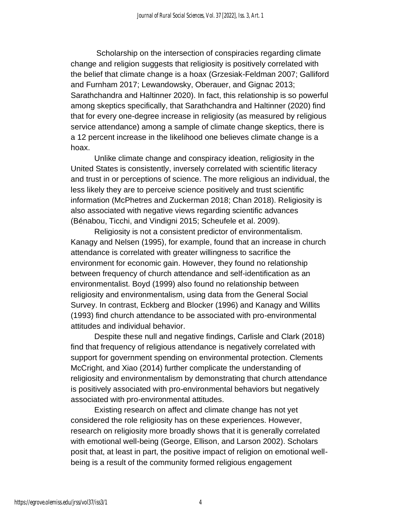Scholarship on the intersection of conspiracies regarding climate change and religion suggests that religiosity is positively correlated with the belief that climate change is a hoax (Grzesiak-Feldman 2007; Galliford and Furnham 2017; Lewandowsky, Oberauer, and Gignac 2013; Sarathchandra and Haltinner 2020). In fact, this relationship is so powerful among skeptics specifically, that Sarathchandra and Haltinner (2020) find that for every one-degree increase in religiosity (as measured by religious service attendance) among a sample of climate change skeptics, there is a 12 percent increase in the likelihood one believes climate change is a hoax.

Unlike climate change and conspiracy ideation, religiosity in the United States is consistently, inversely correlated with scientific literacy and trust in or perceptions of science. The more religious an individual, the less likely they are to perceive science positively and trust scientific information (McPhetres and Zuckerman 2018; Chan 2018). Religiosity is also associated with negative views regarding scientific advances (Bénabou, Ticchi, and Vindigni 2015; Scheufele et al. 2009).

Religiosity is not a consistent predictor of environmentalism. Kanagy and Nelsen (1995), for example, found that an increase in church attendance is correlated with greater willingness to sacrifice the environment for economic gain. However, they found no relationship between frequency of church attendance and self-identification as an environmentalist. Boyd (1999) also found no relationship between religiosity and environmentalism, using data from the General Social Survey. In contrast, Eckberg and Blocker (1996) and Kanagy and Willits (1993) find church attendance to be associated with pro-environmental attitudes and individual behavior.

Despite these null and negative findings, Carlisle and Clark (2018) find that frequency of religious attendance is negatively correlated with support for government spending on environmental protection. Clements McCright, and Xiao (2014) further complicate the understanding of religiosity and environmentalism by demonstrating that church attendance is positively associated with pro-environmental behaviors but negatively associated with pro-environmental attitudes.

Existing research on affect and climate change has not yet considered the role religiosity has on these experiences. However, research on religiosity more broadly shows that it is generally correlated with emotional well-being (George, Ellison, and Larson 2002). Scholars posit that, at least in part, the positive impact of religion on emotional wellbeing is a result of the community formed religious engagement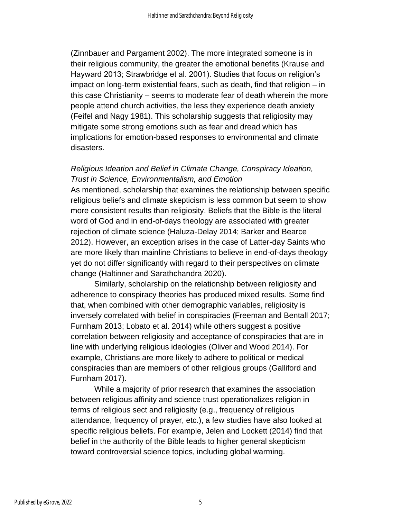(Zinnbauer and Pargament 2002). The more integrated someone is in their religious community, the greater the emotional benefits (Krause and Hayward 2013; Strawbridge et al. 2001). Studies that focus on religion's impact on long-term existential fears, such as death, find that religion – in this case Christianity – seems to moderate fear of death wherein the more people attend church activities, the less they experience death anxiety (Feifel and Nagy 1981). This scholarship suggests that religiosity may mitigate some strong emotions such as fear and dread which has implications for emotion-based responses to environmental and climate disasters.

## *Religious Ideation and Belief in Climate Change, Conspiracy Ideation, Trust in Science, Environmentalism, and Emotion*

As mentioned, scholarship that examines the relationship between specific religious beliefs and climate skepticism is less common but seem to show more consistent results than religiosity. Beliefs that the Bible is the literal word of God and in end-of-days theology are associated with greater rejection of climate science (Haluza-Delay 2014; Barker and Bearce 2012). However, an exception arises in the case of Latter-day Saints who are more likely than mainline Christians to believe in end-of-days theology yet do not differ significantly with regard to their perspectives on climate change (Haltinner and Sarathchandra 2020).

Similarly, scholarship on the relationship between religiosity and adherence to conspiracy theories has produced mixed results. Some find that, when combined with other demographic variables, religiosity is inversely correlated with belief in conspiracies (Freeman and Bentall 2017; Furnham 2013; Lobato et al. 2014) while others suggest a positive correlation between religiosity and acceptance of conspiracies that are in line with underlying religious ideologies (Oliver and Wood 2014). For example, Christians are more likely to adhere to political or medical conspiracies than are members of other religious groups (Galliford and Furnham 2017).

While a majority of prior research that examines the association between religious affinity and science trust operationalizes religion in terms of religious sect and religiosity (e.g., frequency of religious attendance, frequency of prayer, etc.), a few studies have also looked at specific religious beliefs. For example, Jelen and Lockett (2014) find that belief in the authority of the Bible leads to higher general skepticism toward controversial science topics, including global warming.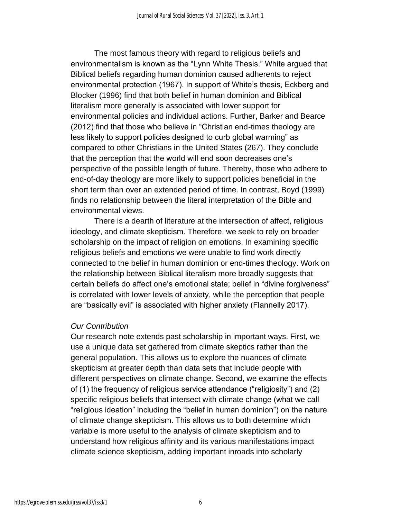The most famous theory with regard to religious beliefs and environmentalism is known as the "Lynn White Thesis." White argued that Biblical beliefs regarding human dominion caused adherents to reject environmental protection (1967). In support of White's thesis, Eckberg and Blocker (1996) find that both belief in human dominion and Biblical literalism more generally is associated with lower support for environmental policies and individual actions. Further, Barker and Bearce (2012) find that those who believe in "Christian end-times theology are less likely to support policies designed to curb global warming" as compared to other Christians in the United States (267). They conclude that the perception that the world will end soon decreases one's perspective of the possible length of future. Thereby, those who adhere to end-of-day theology are more likely to support policies beneficial in the short term than over an extended period of time. In contrast, Boyd (1999) finds no relationship between the literal interpretation of the Bible and environmental views.

There is a dearth of literature at the intersection of affect, religious ideology, and climate skepticism. Therefore, we seek to rely on broader scholarship on the impact of religion on emotions. In examining specific religious beliefs and emotions we were unable to find work directly connected to the belief in human dominion or end-times theology. Work on the relationship between Biblical literalism more broadly suggests that certain beliefs do affect one's emotional state; belief in "divine forgiveness" is correlated with lower levels of anxiety, while the perception that people are "basically evil" is associated with higher anxiety (Flannelly 2017).

#### *Our Contribution*

Our research note extends past scholarship in important ways. First, we use a unique data set gathered from climate skeptics rather than the general population. This allows us to explore the nuances of climate skepticism at greater depth than data sets that include people with different perspectives on climate change. Second, we examine the effects of (1) the frequency of religious service attendance ("religiosity") and (2) specific religious beliefs that intersect with climate change (what we call "religious ideation" including the "belief in human dominion") on the nature of climate change skepticism. This allows us to both determine which variable is more useful to the analysis of climate skepticism and to understand how religious affinity and its various manifestations impact climate science skepticism, adding important inroads into scholarly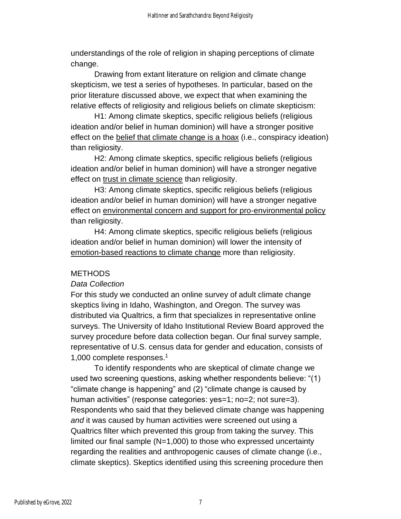understandings of the role of religion in shaping perceptions of climate change.

Drawing from extant literature on religion and climate change skepticism, we test a series of hypotheses. In particular, based on the prior literature discussed above, we expect that when examining the relative effects of religiosity and religious beliefs on climate skepticism:

H1: Among climate skeptics, specific religious beliefs (religious ideation and/or belief in human dominion) will have a stronger positive effect on the belief that climate change is a hoax (i.e., conspiracy ideation) than religiosity.

H2: Among climate skeptics, specific religious beliefs (religious ideation and/or belief in human dominion) will have a stronger negative effect on trust in climate science than religiosity.

H3: Among climate skeptics, specific religious beliefs (religious ideation and/or belief in human dominion) will have a stronger negative effect on environmental concern and support for pro-environmental policy than religiosity.

H4: Among climate skeptics, specific religious beliefs (religious ideation and/or belief in human dominion) will lower the intensity of emotion-based reactions to climate change more than religiosity.

## **METHODS**

#### *Data Collection*

For this study we conducted an online survey of adult climate change skeptics living in Idaho, Washington, and Oregon. The survey was distributed via Qualtrics, a firm that specializes in representative online surveys. The University of Idaho Institutional Review Board approved the survey procedure before data collection began. Our final survey sample, representative of U.S. census data for gender and education, consists of 1,000 complete responses.<sup>1</sup>

To identify respondents who are skeptical of climate change we used two screening questions, asking whether respondents believe: "(1) "climate change is happening" and (2) "climate change is caused by human activities" (response categories: yes=1; no=2; not sure=3). Respondents who said that they believed climate change was happening *and* it was caused by human activities were screened out using a Qualtrics filter which prevented this group from taking the survey. This limited our final sample (N=1,000) to those who expressed uncertainty regarding the realities and anthropogenic causes of climate change (i.e., climate skeptics). Skeptics identified using this screening procedure then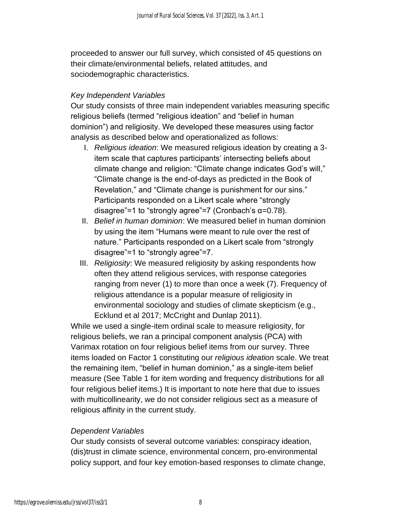proceeded to answer our full survey, which consisted of 45 questions on their climate/environmental beliefs, related attitudes, and sociodemographic characteristics.

## *Key Independent Variables*

Our study consists of three main independent variables measuring specific religious beliefs (termed "religious ideation" and "belief in human dominion") and religiosity. We developed these measures using factor analysis as described below and operationalized as follows:

- I. *Religious ideation*: We measured religious ideation by creating a 3 item scale that captures participants' intersecting beliefs about climate change and religion: "Climate change indicates God's will," "Climate change is the end-of-days as predicted in the Book of Revelation," and "Climate change is punishment for our sins." Participants responded on a Likert scale where "strongly disagree"=1 to "strongly agree"=7 (Cronbach's  $\alpha$ =0.78).
- II. *Belief in human dominion*: We measured belief in human dominion by using the item "Humans were meant to rule over the rest of nature." Participants responded on a Likert scale from "strongly disagree"=1 to "strongly agree"=7.
- III. *Religiosity*: We measured religiosity by asking respondents how often they attend religious services, with response categories ranging from never (1) to more than once a week (7). Frequency of religious attendance is a popular measure of religiosity in environmental sociology and studies of climate skepticism (e.g., Ecklund et al 2017; McCright and Dunlap 2011).

While we used a single-item ordinal scale to measure religiosity, for religious beliefs, we ran a principal component analysis (PCA) with Varimax rotation on four religious belief items from our survey. Three items loaded on Factor 1 constituting our *religious ideation* scale. We treat the remaining item, "belief in human dominion," as a single-item belief measure (See Table 1 for item wording and frequency distributions for all four religious belief items.) It is important to note here that due to issues with multicollinearity, we do not consider religious sect as a measure of religious affinity in the current study.

## *Dependent Variables*

Our study consists of several outcome variables: conspiracy ideation, (dis)trust in climate science, environmental concern, pro-environmental policy support, and four key emotion-based responses to climate change,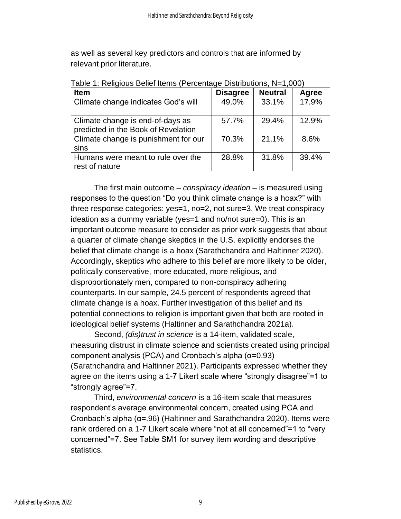as well as several key predictors and controls that are informed by relevant prior literature.

| <b>Item</b>                                                             | <b>Disagree</b> | <b>Neutral</b> | Agree |
|-------------------------------------------------------------------------|-----------------|----------------|-------|
| Climate change indicates God's will                                     | 49.0%           | 33.1%          | 17.9% |
| Climate change is end-of-days as<br>predicted in the Book of Revelation | 57.7%           | 29.4%          | 12.9% |
| Climate change is punishment for our<br>sins                            | 70.3%           | 21.1%          | 8.6%  |
| Humans were meant to rule over the<br>rest of nature                    | 28.8%           | 31.8%          | 39.4% |

Table 1: Religious Belief Items (Percentage Distributions, N=1,000)

The first main outcome – *conspiracy ideation* – is measured using responses to the question "Do you think climate change is a hoax?" with three response categories: yes=1, no=2, not sure=3. We treat conspiracy ideation as a dummy variable (yes=1 and no/not sure=0). This is an important outcome measure to consider as prior work suggests that about a quarter of climate change skeptics in the U.S. explicitly endorses the belief that climate change is a hoax (Sarathchandra and Haltinner 2020). Accordingly, skeptics who adhere to this belief are more likely to be older, politically conservative, more educated, more religious, and disproportionately men, compared to non-conspiracy adhering counterparts. In our sample, 24.5 percent of respondents agreed that climate change is a hoax. Further investigation of this belief and its potential connections to religion is important given that both are rooted in ideological belief systems (Haltinner and Sarathchandra 2021a).

Second, *(dis)trust in science* is a 14-item, validated scale, measuring distrust in climate science and scientists created using principal component analysis (PCA) and Cronbach's alpha (α=0.93) (Sarathchandra and Haltinner 2021). Participants expressed whether they agree on the items using a 1-7 Likert scale where "strongly disagree"=1 to "strongly agree"=7.

Third, *environmental concern* is a 16-item scale that measures respondent's average environmental concern, created using PCA and Cronbach's alpha (α=.96) (Haltinner and Sarathchandra 2020). Items were rank ordered on a 1-7 Likert scale where "not at all concerned"=1 to "very concerned"=7. See Table SM1 for survey item wording and descriptive statistics.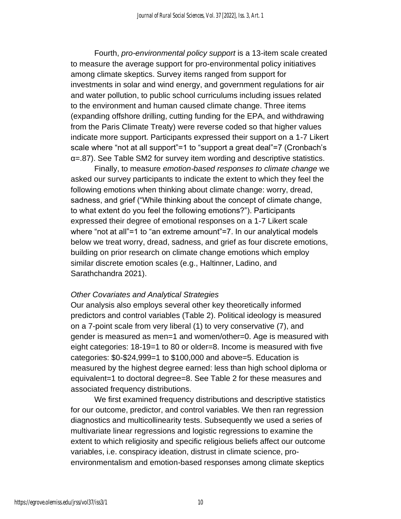Fourth, *pro-environmental policy support* is a 13-item scale created to measure the average support for pro-environmental policy initiatives among climate skeptics. Survey items ranged from support for investments in solar and wind energy, and government regulations for air and water pollution, to public school curriculums including issues related to the environment and human caused climate change. Three items (expanding offshore drilling, cutting funding for the EPA, and withdrawing from the Paris Climate Treaty) were reverse coded so that higher values indicate more support. Participants expressed their support on a 1-7 Likert scale where "not at all support"=1 to "support a great deal"=7 (Cronbach's α=.87). See Table SM2 for survey item wording and descriptive statistics.

Finally, to measure *emotion-based responses to climate change* we asked our survey participants to indicate the extent to which they feel the following emotions when thinking about climate change: worry, dread, sadness, and grief ("While thinking about the concept of climate change, to what extent do you feel the following emotions?"). Participants expressed their degree of emotional responses on a 1-7 Likert scale where "not at all"=1 to "an extreme amount"=7. In our analytical models below we treat worry, dread, sadness, and grief as four discrete emotions, building on prior research on climate change emotions which employ similar discrete emotion scales (e.g., Haltinner, Ladino, and Sarathchandra 2021).

#### *Other Covariates and Analytical Strategies*

Our analysis also employs several other key theoretically informed predictors and control variables (Table 2). Political ideology is measured on a 7-point scale from very liberal (1) to very conservative (7), and gender is measured as men=1 and women/other=0. Age is measured with eight categories: 18-19=1 to 80 or older=8. Income is measured with five categories: \$0-\$24,999=1 to \$100,000 and above=5. Education is measured by the highest degree earned: less than high school diploma or equivalent=1 to doctoral degree=8. See Table 2 for these measures and associated frequency distributions.

We first examined frequency distributions and descriptive statistics for our outcome, predictor, and control variables. We then ran regression diagnostics and multicollinearity tests. Subsequently we used a series of multivariate linear regressions and logistic regressions to examine the extent to which religiosity and specific religious beliefs affect our outcome variables, i.e. conspiracy ideation, distrust in climate science, proenvironmentalism and emotion-based responses among climate skeptics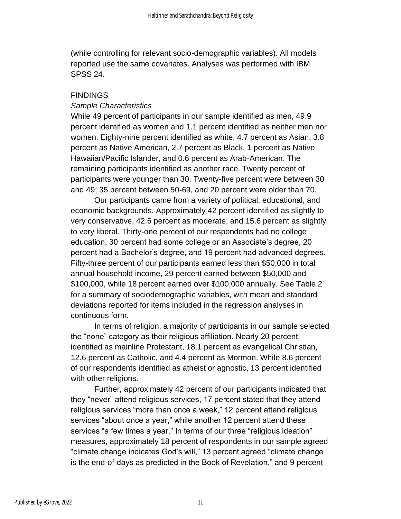(while controlling for relevant socio-demographic variables). All models reported use the same covariates. Analyses was performed with IBM SPSS 24.

#### **FINDINGS**

#### *Sample Characteristics*

While 49 percent of participants in our sample identified as men, 49.9 percent identified as women and 1.1 percent identified as neither men nor women. Eighty-nine percent identified as white, 4.7 percent as Asian, 3.8 percent as Native American, 2.7 percent as Black, 1 percent as Native Hawaiian/Pacific Islander, and 0.6 percent as Arab-American. The remaining participants identified as another race. Twenty percent of participants were younger than 30. Twenty-five percent were between 30 and 49; 35 percent between 50-69, and 20 percent were older than 70.

Our participants came from a variety of political, educational, and economic backgrounds. Approximately 42 percent identified as slightly to very conservative, 42.6 percent as moderate, and 15.6 percent as slightly to very liberal. Thirty-one percent of our respondents had no college education, 30 percent had some college or an Associate's degree, 20 percent had a Bachelor's degree, and 19 percent had advanced degrees. Fifty-three percent of our participants earned less than \$50,000 in total annual household income, 29 percent earned between \$50,000 and \$100,000, while 18 percent earned over \$100,000 annually. See Table 2 for a summary of sociodemographic variables, with mean and standard deviations reported for items included in the regression analyses in continuous form.

In terms of religion, a majority of participants in our sample selected the "none" category as their religious affiliation. Nearly 20 percent identified as mainline Protestant, 18.1 percent as evangelical Christian, 12.6 percent as Catholic, and 4.4 percent as Mormon. While 8.6 percent of our respondents identified as atheist or agnostic, 13 percent identified with other religions.

Further, approximately 42 percent of our participants indicated that they "never" attend religious services, 17 percent stated that they attend religious services "more than once a week," 12 percent attend religious services "about once a year," while another 12 percent attend these services "a few times a year." In terms of our three "religious ideation" measures, approximately 18 percent of respondents in our sample agreed "climate change indicates God's will," 13 percent agreed "climate change is the end-of-days as predicted in the Book of Revelation," and 9 percent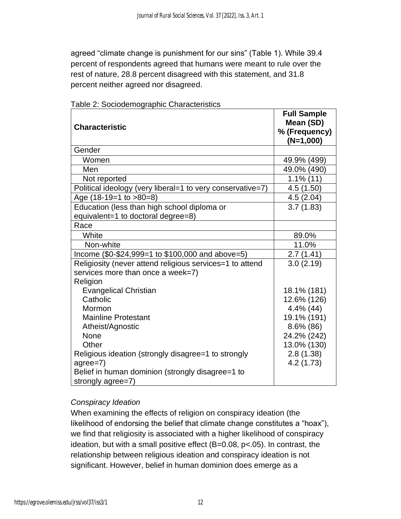agreed "climate change is punishment for our sins" (Table 1). While 39.4 percent of respondents agreed that humans were meant to rule over the rest of nature, 28.8 percent disagreed with this statement, and 31.8 percent neither agreed nor disagreed.

|                                                            | <b>Full Sample</b>           |
|------------------------------------------------------------|------------------------------|
| <b>Characteristic</b>                                      | Mean (SD)                    |
|                                                            | % (Frequency)<br>$(N=1,000)$ |
| Gender                                                     |                              |
| Women                                                      | 49.9% (499)                  |
| Men                                                        | 49.0% (490)                  |
| Not reported                                               | $1.1\%$ (11)                 |
| Political ideology (very liberal=1 to very conservative=7) | 4.5 (1.50)                   |
| Age $(18-19=1$ to $>80=8$ )                                | 4.5(2.04)                    |
| Education (less than high school diploma or                | 3.7(1.83)                    |
| equivalent=1 to doctoral degree=8)                         |                              |
| Race                                                       |                              |
| White                                                      | 89.0%                        |
| Non-white                                                  | 11.0%                        |
| Income (\$0-\$24,999=1 to \$100,000 and above=5)           | 2.7(1.41)                    |
| Religiosity (never attend religious services=1 to attend   | 3.0(2.19)                    |
| services more than once a week=7)                          |                              |
| Religion                                                   |                              |
| <b>Evangelical Christian</b>                               | 18.1% (181)                  |
| Catholic                                                   | 12.6% (126)                  |
| Mormon                                                     | $4.4\%$ (44)                 |
| <b>Mainline Protestant</b>                                 | 19.1% (191)                  |
| Atheist/Agnostic                                           | 8.6% (86)                    |
| None                                                       | 24.2% (242)                  |
| Other                                                      | 13.0% (130)                  |
| Religious ideation (strongly disagree=1 to strongly        | 2.8(1.38)                    |
| agree=7)                                                   | 4.2 (1.73)                   |
| Belief in human dominion (strongly disagree=1 to           |                              |
| strongly agree=7)                                          |                              |

Table 2: Sociodemographic Characteristics

#### *Conspiracy Ideation*

When examining the effects of religion on conspiracy ideation (the likelihood of endorsing the belief that climate change constitutes a "hoax"), we find that religiosity is associated with a higher likelihood of conspiracy ideation, but with a small positive effect (B=0.08, p<.05). In contrast, the relationship between religious ideation and conspiracy ideation is not significant. However, belief in human dominion does emerge as a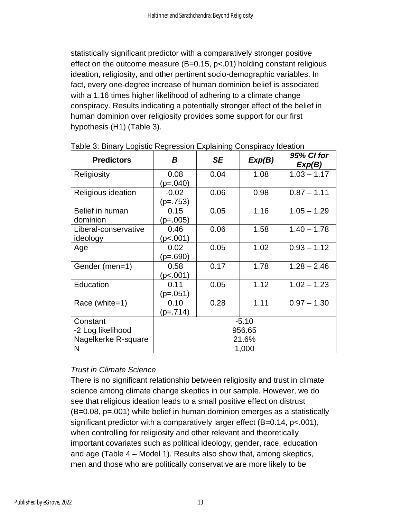statistically significant predictor with a comparatively stronger positive effect on the outcome measure  $(B=0.15, p<0.1)$  holding constant religious ideation, religiosity, and other pertinent socio-demographic variables. In fact, every one-degree increase of human dominion belief is associated with a 1.16 times higher likelihood of adhering to a climate change conspiracy. Results indicating a potentially stronger effect of the belief in human dominion over religiosity provides some support for our first hypothesis (H1) (Table 3).

| <b>Predictors</b>                | Β                   | <b>SE</b> | Exp(B) | 95% CI for<br>Exp(B) |  |
|----------------------------------|---------------------|-----------|--------|----------------------|--|
| Religiosity                      | 0.08<br>$(p=.040)$  | 0.04      | 1.08   | $1.03 - 1.17$        |  |
| Religious ideation               | $-0.02$<br>(p=.753) | 0.06      | 0.98   | $0.87 - 1.11$        |  |
| Belief in human<br>dominion      | 0.15<br>$(p=.005)$  | 0.05      | 1.16   | $1.05 - 1.29$        |  |
| Liberal-conservative<br>ideology | 0.46<br>(p<.001)    | 0.06      | 1.58   | $1.40 - 1.78$        |  |
| Age                              | 0.02<br>$(p=.690)$  | 0.05      | 1.02   | $0.93 - 1.12$        |  |
| Gender (men=1)                   | 0.58<br>(p<.001)    | 0.17      | 1.78   | $1.28 - 2.46$        |  |
| Education                        | 0.11<br>(p=.051)    | 0.05      | 1.12   | $1.02 - 1.23$        |  |
| Race (white=1)                   | 0.10<br>$(p=.714)$  | 0.28      | 1.11   | $0.97 - 1.30$        |  |
| Constant<br>-2 Log likelihood    | $-5.10$<br>956.65   |           |        |                      |  |
| Nagelkerke R-square<br>N         | 21.6%<br>1,000      |           |        |                      |  |

Table 3: Binary Logistic Regression Explaining Conspiracy Ideation

## *Trust in Climate Science*

There is no significant relationship between religiosity and trust in climate science among climate change skeptics in our sample. However, we do see that religious ideation leads to a small positive effect on distrust (B=0.08, p=.001) while belief in human dominion emerges as a statistically significant predictor with a comparatively larger effect (B=0.14, p<.001), when controlling for religiosity and other relevant and theoretically important covariates such as political ideology, gender, race, education and age (Table 4 – Model 1). Results also show that, among skeptics, men and those who are politically conservative are more likely to be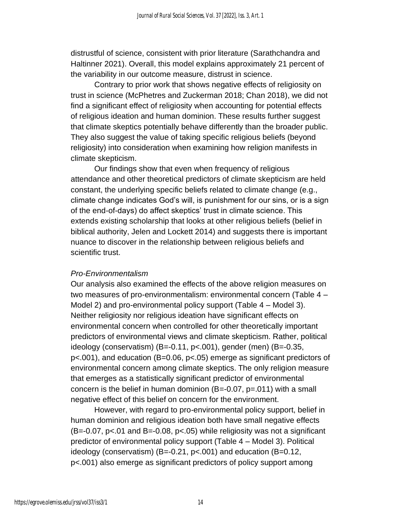distrustful of science, consistent with prior literature (Sarathchandra and Haltinner 2021). Overall, this model explains approximately 21 percent of the variability in our outcome measure, distrust in science.

Contrary to prior work that shows negative effects of religiosity on trust in science (McPhetres and Zuckerman 2018; Chan 2018), we did not find a significant effect of religiosity when accounting for potential effects of religious ideation and human dominion. These results further suggest that climate skeptics potentially behave differently than the broader public. They also suggest the value of taking specific religious beliefs (beyond religiosity) into consideration when examining how religion manifests in climate skepticism.

Our findings show that even when frequency of religious attendance and other theoretical predictors of climate skepticism are held constant, the underlying specific beliefs related to climate change (e.g., climate change indicates God's will, is punishment for our sins, or is a sign of the end-of-days) do affect skeptics' trust in climate science. This extends existing scholarship that looks at other religious beliefs (belief in biblical authority, Jelen and Lockett 2014) and suggests there is important nuance to discover in the relationship between religious beliefs and scientific trust.

#### *Pro-Environmentalism*

Our analysis also examined the effects of the above religion measures on two measures of pro-environmentalism: environmental concern (Table 4 – Model 2) and pro-environmental policy support (Table 4 – Model 3). Neither religiosity nor religious ideation have significant effects on environmental concern when controlled for other theoretically important predictors of environmental views and climate skepticism. Rather, political ideology (conservatism)  $(B=-0.11, p<0.01)$ , gender (men)  $(B=-0.35, p<sub>0.01</sub>)$ p<.001), and education (B=0.06, p<.05) emerge as significant predictors of environmental concern among climate skeptics. The only religion measure that emerges as a statistically significant predictor of environmental concern is the belief in human dominion  $(B=-0.07, p=.011)$  with a small negative effect of this belief on concern for the environment.

However, with regard to pro-environmental policy support, belief in human dominion and religious ideation both have small negative effects  $(B=-0.07, p<0.01$  and B $=-0.08, p<0.05$ ) while religiosity was not a significant predictor of environmental policy support (Table 4 – Model 3). Political ideology (conservatism) (B=-0.21, p<.001) and education (B=0.12, p<.001) also emerge as significant predictors of policy support among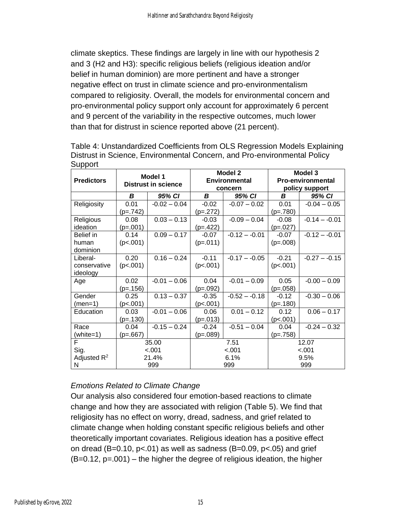climate skeptics. These findings are largely in line with our hypothesis 2 and 3 (H2 and H3): specific religious beliefs (religious ideation and/or belief in human dominion) are more pertinent and have a stronger negative effect on trust in climate science and pro-environmentalism compared to religiosity. Overall, the models for environmental concern and pro-environmental policy support only account for approximately 6 percent and 9 percent of the variability in the respective outcomes, much lower than that for distrust in science reported above (21 percent).

| <b>Predictors</b>                    |                                  | Model 1<br><b>Distrust in science</b> |                                | Model 2<br><b>Environmental</b><br>concern | Model 3<br><b>Pro-environmental</b><br>policy support |                 |  |
|--------------------------------------|----------------------------------|---------------------------------------|--------------------------------|--------------------------------------------|-------------------------------------------------------|-----------------|--|
|                                      | B                                | 95% CI                                | B                              | 95% CI                                     | B                                                     | 95% CI          |  |
| Religiosity                          | 0.01<br>$(p=.742)$               | $-0.02 - 0.04$                        | $-0.02$<br>$(p=.272)$          | $-0.07 - 0.02$                             | 0.01<br>$(p=.780)$                                    | $-0.04 - 0.05$  |  |
| Religious<br>ideation                | 0.08<br>$(p=.001)$               | $0.03 - 0.13$                         | $-0.03$<br>$(p=.422)$          | $-0.09 - 0.04$                             | $-0.08$<br>$(p=.027)$                                 | $-0.14 - -0.01$ |  |
| Belief in<br>human<br>dominion       | 0.14<br>(p<.001)                 | $0.09 - 0.17$                         | $-0.07$<br>$(p=.011)$          | $-0.12 - -0.01$                            | $-0.07$<br>$(p=.008)$                                 | $-0.12 - -0.01$ |  |
| Liberal-<br>conservative<br>ideology | 0.20<br>(p<.001)                 | $0.16 - 0.24$                         | $-0.11$<br>(p<.001)            | $-0.17 - -0.05$                            | $-0.21$<br>(p<.001)                                   | $-0.27 - -0.15$ |  |
| Age                                  | 0.02<br>$(p=.156)$               | $-0.01 - 0.06$                        | 0.04<br>$(p=.092)$             | $-0.01 - 0.09$                             | 0.05<br>$(p=.058)$                                    | $-0.00 - 0.09$  |  |
| Gender<br>$(men=1)$                  | 0.25<br>(p<.001)                 | $0.13 - 0.37$                         | $-0.35$<br>(p<.001)            | $-0.52 - -0.18$                            | $-0.12$<br>$(p=.180)$                                 | $-0.30 - 0.06$  |  |
| Education                            | 0.03<br>$(p=.130)$               | $-0.01 - 0.06$                        | 0.06<br>$(p=.013)$             | $0.01 - 0.12$                              | 0.12<br>(p<.001)                                      | $0.06 - 0.17$   |  |
| Race<br>(white=1)                    | 0.04<br>(p=.667)                 | $-0.15 - 0.24$                        | $-0.24$<br>$(p=.089)$          | $-0.51 - 0.04$                             | 0.04<br>$(p=.758)$                                    | $-0.24 - 0.32$  |  |
| F<br>Sig.<br>Adjusted $R^2$<br>N     | 35.00<br>$-.001$<br>21.4%<br>999 |                                       | 7.51<br>$-.001$<br>6.1%<br>999 |                                            | 12.07<br>$-.001$<br>9.5%<br>999                       |                 |  |

Table 4: Unstandardized Coefficients from OLS Regression Models Explaining Distrust in Science, Environmental Concern, and Pro-environmental Policy **Support** 

## *Emotions Related to Climate Change*

Our analysis also considered four emotion-based reactions to climate change and how they are associated with religion (Table 5). We find that religiosity has no effect on worry, dread, sadness, and grief related to climate change when holding constant specific religious beliefs and other theoretically important covariates. Religious ideation has a positive effect on dread (B=0.10,  $p<0.01$ ) as well as sadness (B=0.09,  $p<0.05$ ) and grief  $(B=0.12, p=.001)$  – the higher the degree of religious ideation, the higher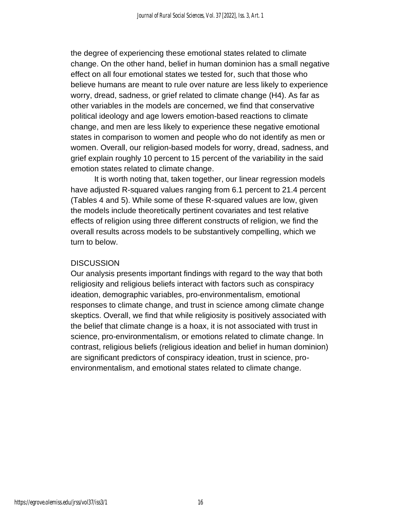the degree of experiencing these emotional states related to climate change. On the other hand, belief in human dominion has a small negative effect on all four emotional states we tested for, such that those who believe humans are meant to rule over nature are less likely to experience worry, dread, sadness, or grief related to climate change (H4). As far as other variables in the models are concerned, we find that conservative political ideology and age lowers emotion-based reactions to climate change, and men are less likely to experience these negative emotional states in comparison to women and people who do not identify as men or women. Overall, our religion-based models for worry, dread, sadness, and grief explain roughly 10 percent to 15 percent of the variability in the said emotion states related to climate change.

It is worth noting that, taken together, our linear regression models have adjusted R-squared values ranging from 6.1 percent to 21.4 percent (Tables 4 and 5). While some of these R-squared values are low, given the models include theoretically pertinent covariates and test relative effects of religion using three different constructs of religion, we find the overall results across models to be substantively compelling, which we turn to below.

#### **DISCUSSION**

Our analysis presents important findings with regard to the way that both religiosity and religious beliefs interact with factors such as conspiracy ideation, demographic variables, pro-environmentalism, emotional responses to climate change, and trust in science among climate change skeptics. Overall, we find that while religiosity is positively associated with the belief that climate change is a hoax, it is not associated with trust in science, pro-environmentalism, or emotions related to climate change. In contrast, religious beliefs (religious ideation and belief in human dominion) are significant predictors of conspiracy ideation, trust in science, proenvironmentalism, and emotional states related to climate change.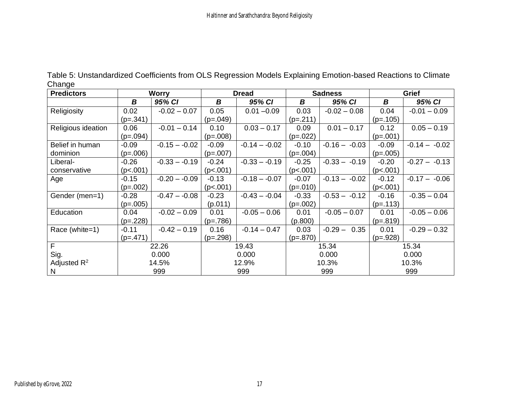| <b>Predictors</b>  |            | <b>Worry</b>    |            | <b>Dread</b>    |            | <b>Sadness</b>  |            | Grief           |
|--------------------|------------|-----------------|------------|-----------------|------------|-----------------|------------|-----------------|
|                    | В          | 95% CI          | B          | 95% CI          | B          | 95% CI          | B          | 95% CI          |
| Religiosity        | 0.02       | $-0.02 - 0.07$  | 0.05       | $0.01 - 0.09$   | 0.03       | $-0.02 - 0.08$  | 0.04       | $-0.01 - 0.09$  |
|                    | $(p=.341)$ |                 | $(p=.049)$ |                 | $(p=.211)$ |                 | $(p=.105)$ |                 |
| Religious ideation | 0.06       | $-0.01 - 0.14$  | 0.10       | $0.03 - 0.17$   | 0.09       | $0.01 - 0.17$   | 0.12       | $0.05 - 0.19$   |
|                    | $(p=.094)$ |                 | $(p=.008)$ |                 | $(p=.022)$ |                 | $(p=.001)$ |                 |
| Belief in human    | $-0.09$    | $-0.15 - -0.02$ | $-0.09$    | $-0.14 - -0.02$ | $-0.10$    | $-0.16 - -0.03$ | $-0.09$    | $-0.14 - -0.02$ |
| dominion           | $(p=.006)$ |                 | $(p=.007)$ |                 | $(p=.004)$ |                 | $(p=.005)$ |                 |
| Liberal-           | $-0.26$    | $-0.33 - -0.19$ | $-0.24$    | $-0.33 - -0.19$ | $-0.25$    | $-0.33 - -0.19$ | $-0.20$    | $-0.27 - -0.13$ |
| conservative       | (p<.001)   |                 | (p<.001)   |                 | (p< .001)  |                 | (p<.001)   |                 |
| Age                | $-0.15$    | $-0.20 - -0.09$ | $-0.13$    | $-0.18 - -0.07$ | $-0.07$    | $-0.13 - -0.02$ | $-0.12$    | $-0.17 - -0.06$ |
|                    | $(p=.002)$ |                 | (p<.001)   |                 | $(p=.010)$ |                 | (p<.001)   |                 |
| Gender (men=1)     | $-0.28$    | $-0.47 - -0.08$ | $-0.23$    | $-0.43 - -0.04$ | $-0.33$    | $-0.53 - -0.12$ | $-0.16$    | $-0.35 - 0.04$  |
|                    | $(p=.005)$ |                 | (p.011)    |                 | $(p=.002)$ |                 | $(p=.113)$ |                 |
| Education          | 0.04       | $-0.02 - 0.09$  | 0.01       | $-0.05 - 0.06$  | 0.01       | $-0.05 - 0.07$  | 0.01       | $-0.05 - 0.06$  |
|                    | $(p=.228)$ |                 | $(p=.786)$ |                 | (p.800)    |                 | $(p=.819)$ |                 |
| Race (white=1)     | $-0.11$    | $-0.42 - 0.19$  | 0.16       | $-0.14 - 0.47$  | 0.03       | $-0.29 - 0.35$  | 0.01       | $-0.29 - 0.32$  |
|                    | $(p=.471)$ |                 | $(p=.298)$ |                 | $(p=.870)$ |                 | $(p=.928)$ |                 |
| F                  |            | 22.26           |            | 19.43           |            | 15.34           |            | 15.34           |
| Sig.               |            | 0.000           |            | 0.000           |            | 0.000           |            | 0.000           |
| Adjusted $R^2$     |            | 14.5%           |            | 12.9%           |            | 10.3%           |            | 10.3%           |
| N                  |            | 999             |            | 999             |            | 999             |            | 999             |

Table 5: Unstandardized Coefficients from OLS Regression Models Explaining Emotion-based Reactions to Climate Change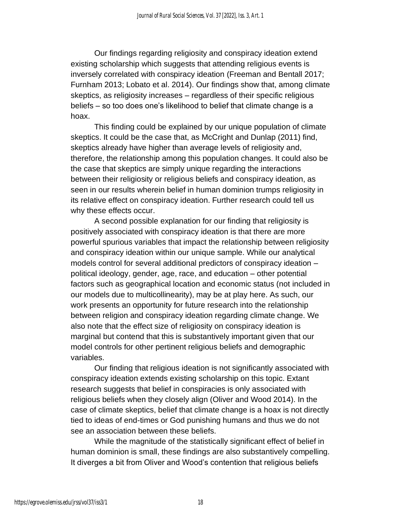Our findings regarding religiosity and conspiracy ideation extend existing scholarship which suggests that attending religious events is inversely correlated with conspiracy ideation (Freeman and Bentall 2017; Furnham 2013; Lobato et al. 2014). Our findings show that, among climate skeptics, as religiosity increases – regardless of their specific religious beliefs – so too does one's likelihood to belief that climate change is a hoax.

This finding could be explained by our unique population of climate skeptics. It could be the case that, as McCright and Dunlap (2011) find, skeptics already have higher than average levels of religiosity and, therefore, the relationship among this population changes. It could also be the case that skeptics are simply unique regarding the interactions between their religiosity or religious beliefs and conspiracy ideation, as seen in our results wherein belief in human dominion trumps religiosity in its relative effect on conspiracy ideation. Further research could tell us why these effects occur.

A second possible explanation for our finding that religiosity is positively associated with conspiracy ideation is that there are more powerful spurious variables that impact the relationship between religiosity and conspiracy ideation within our unique sample. While our analytical models control for several additional predictors of conspiracy ideation – political ideology, gender, age, race, and education – other potential factors such as geographical location and economic status (not included in our models due to multicollinearity), may be at play here. As such, our work presents an opportunity for future research into the relationship between religion and conspiracy ideation regarding climate change. We also note that the effect size of religiosity on conspiracy ideation is marginal but contend that this is substantively important given that our model controls for other pertinent religious beliefs and demographic variables.

Our finding that religious ideation is not significantly associated with conspiracy ideation extends existing scholarship on this topic. Extant research suggests that belief in conspiracies is only associated with religious beliefs when they closely align (Oliver and Wood 2014). In the case of climate skeptics, belief that climate change is a hoax is not directly tied to ideas of end-times or God punishing humans and thus we do not see an association between these beliefs.

While the magnitude of the statistically significant effect of belief in human dominion is small, these findings are also substantively compelling. It diverges a bit from Oliver and Wood's contention that religious beliefs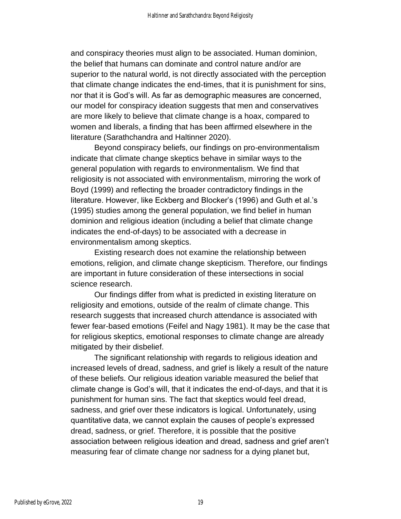and conspiracy theories must align to be associated. Human dominion, the belief that humans can dominate and control nature and/or are superior to the natural world, is not directly associated with the perception that climate change indicates the end-times, that it is punishment for sins, nor that it is God's will. As far as demographic measures are concerned, our model for conspiracy ideation suggests that men and conservatives are more likely to believe that climate change is a hoax, compared to women and liberals, a finding that has been affirmed elsewhere in the literature (Sarathchandra and Haltinner 2020).

Beyond conspiracy beliefs, our findings on pro-environmentalism indicate that climate change skeptics behave in similar ways to the general population with regards to environmentalism. We find that religiosity is not associated with environmentalism, mirroring the work of Boyd (1999) and reflecting the broader contradictory findings in the literature. However, like Eckberg and Blocker's (1996) and Guth et al.'s (1995) studies among the general population, we find belief in human dominion and religious ideation (including a belief that climate change indicates the end-of-days) to be associated with a decrease in environmentalism among skeptics.

Existing research does not examine the relationship between emotions, religion, and climate change skepticism. Therefore, our findings are important in future consideration of these intersections in social science research.

Our findings differ from what is predicted in existing literature on religiosity and emotions, outside of the realm of climate change. This research suggests that increased church attendance is associated with fewer fear-based emotions (Feifel and Nagy 1981). It may be the case that for religious skeptics, emotional responses to climate change are already mitigated by their disbelief.

The significant relationship with regards to religious ideation and increased levels of dread, sadness, and grief is likely a result of the nature of these beliefs. Our religious ideation variable measured the belief that climate change is God's will, that it indicates the end-of-days, and that it is punishment for human sins. The fact that skeptics would feel dread, sadness, and grief over these indicators is logical. Unfortunately, using quantitative data, we cannot explain the causes of people's expressed dread, sadness, or grief. Therefore, it is possible that the positive association between religious ideation and dread, sadness and grief aren't measuring fear of climate change nor sadness for a dying planet but,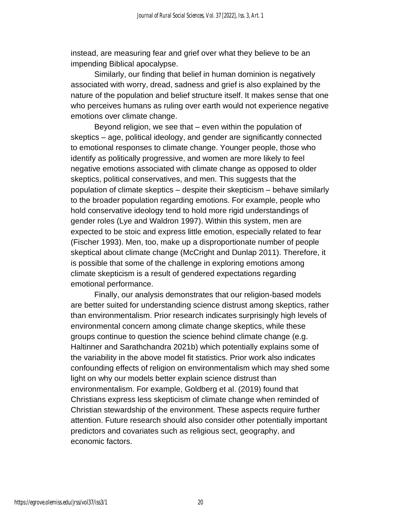instead, are measuring fear and grief over what they believe to be an impending Biblical apocalypse.

Similarly, our finding that belief in human dominion is negatively associated with worry, dread, sadness and grief is also explained by the nature of the population and belief structure itself. It makes sense that one who perceives humans as ruling over earth would not experience negative emotions over climate change.

Beyond religion, we see that – even within the population of skeptics – age, political ideology, and gender are significantly connected to emotional responses to climate change. Younger people, those who identify as politically progressive, and women are more likely to feel negative emotions associated with climate change as opposed to older skeptics, political conservatives, and men. This suggests that the population of climate skeptics – despite their skepticism – behave similarly to the broader population regarding emotions. For example, people who hold conservative ideology tend to hold more rigid understandings of gender roles (Lye and Waldron 1997). Within this system, men are expected to be stoic and express little emotion, especially related to fear (Fischer 1993). Men, too, make up a disproportionate number of people skeptical about climate change (McCright and Dunlap 2011). Therefore, it is possible that some of the challenge in exploring emotions among climate skepticism is a result of gendered expectations regarding emotional performance.

Finally, our analysis demonstrates that our religion-based models are better suited for understanding science distrust among skeptics, rather than environmentalism. Prior research indicates surprisingly high levels of environmental concern among climate change skeptics, while these groups continue to question the science behind climate change (e.g. Haltinner and Sarathchandra 2021b) which potentially explains some of the variability in the above model fit statistics. Prior work also indicates confounding effects of religion on environmentalism which may shed some light on why our models better explain science distrust than environmentalism. For example, Goldberg et al. (2019) found that Christians express less skepticism of climate change when reminded of Christian stewardship of the environment. These aspects require further attention. Future research should also consider other potentially important predictors and covariates such as religious sect, geography, and economic factors.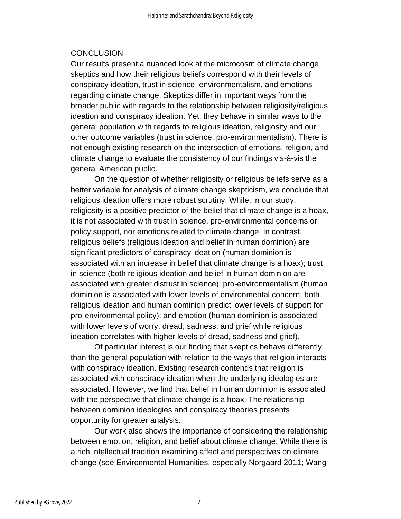## **CONCLUSION**

Our results present a nuanced look at the microcosm of climate change skeptics and how their religious beliefs correspond with their levels of conspiracy ideation, trust in science, environmentalism, and emotions regarding climate change. Skeptics differ in important ways from the broader public with regards to the relationship between religiosity/religious ideation and conspiracy ideation. Yet, they behave in similar ways to the general population with regards to religious ideation, religiosity and our other outcome variables (trust in science, pro-environmentalism). There is not enough existing research on the intersection of emotions, religion, and climate change to evaluate the consistency of our findings vis-à-vis the general American public.

On the question of whether religiosity or religious beliefs serve as a better variable for analysis of climate change skepticism, we conclude that religious ideation offers more robust scrutiny. While, in our study, religiosity is a positive predictor of the belief that climate change is a hoax, it is not associated with trust in science, pro-environmental concerns or policy support, nor emotions related to climate change. In contrast, religious beliefs (religious ideation and belief in human dominion) are significant predictors of conspiracy ideation (human dominion is associated with an increase in belief that climate change is a hoax); trust in science (both religious ideation and belief in human dominion are associated with greater distrust in science); pro-environmentalism (human dominion is associated with lower levels of environmental concern; both religious ideation and human dominion predict lower levels of support for pro-environmental policy); and emotion (human dominion is associated with lower levels of worry, dread, sadness, and grief while religious ideation correlates with higher levels of dread, sadness and grief).

Of particular interest is our finding that skeptics behave differently than the general population with relation to the ways that religion interacts with conspiracy ideation. Existing research contends that religion is associated with conspiracy ideation when the underlying ideologies are associated. However, we find that belief in human dominion is associated with the perspective that climate change is a hoax. The relationship between dominion ideologies and conspiracy theories presents opportunity for greater analysis.

Our work also shows the importance of considering the relationship between emotion, religion, and belief about climate change. While there is a rich intellectual tradition examining affect and perspectives on climate change (see Environmental Humanities, especially Norgaard 2011; Wang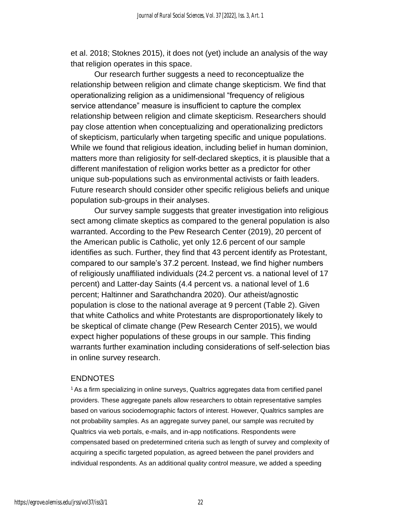et al. 2018; Stoknes 2015), it does not (yet) include an analysis of the way that religion operates in this space.

Our research further suggests a need to reconceptualize the relationship between religion and climate change skepticism. We find that operationalizing religion as a unidimensional "frequency of religious service attendance" measure is insufficient to capture the complex relationship between religion and climate skepticism. Researchers should pay close attention when conceptualizing and operationalizing predictors of skepticism, particularly when targeting specific and unique populations. While we found that religious ideation, including belief in human dominion, matters more than religiosity for self-declared skeptics, it is plausible that a different manifestation of religion works better as a predictor for other unique sub-populations such as environmental activists or faith leaders. Future research should consider other specific religious beliefs and unique population sub-groups in their analyses.

Our survey sample suggests that greater investigation into religious sect among climate skeptics as compared to the general population is also warranted. According to the Pew Research Center (2019), 20 percent of the American public is Catholic, yet only 12.6 percent of our sample identifies as such. Further, they find that 43 percent identify as Protestant, compared to our sample's 37.2 percent. Instead, we find higher numbers of religiously unaffiliated individuals (24.2 percent vs. a national level of 17 percent) and Latter-day Saints (4.4 percent vs. a national level of 1.6 percent; Haltinner and Sarathchandra 2020). Our atheist/agnostic population is close to the national average at 9 percent (Table 2). Given that white Catholics and white Protestants are disproportionately likely to be skeptical of climate change (Pew Research Center 2015), we would expect higher populations of these groups in our sample. This finding warrants further examination including considerations of self-selection bias in online survey research.

#### ENDNOTES

<sup>1</sup>As a firm specializing in online surveys, Qualtrics aggregates data from certified panel providers. These aggregate panels allow researchers to obtain representative samples based on various sociodemographic factors of interest. However, Qualtrics samples are not probability samples. As an aggregate survey panel, our sample was recruited by Qualtrics via web portals, e-mails, and in-app notifications. Respondents were compensated based on predetermined criteria such as length of survey and complexity of acquiring a specific targeted population, as agreed between the panel providers and individual respondents. As an additional quality control measure, we added a speeding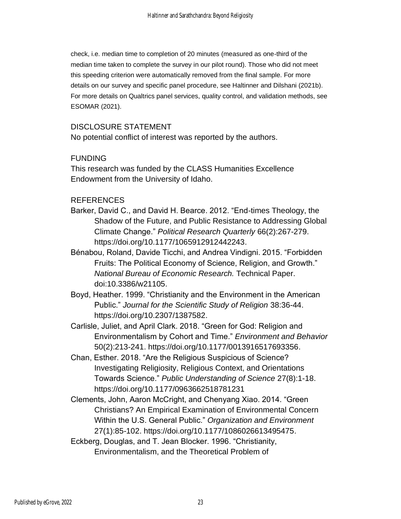check, i.e. median time to completion of 20 minutes (measured as one-third of the median time taken to complete the survey in our pilot round). Those who did not meet this speeding criterion were automatically removed from the final sample. For more details on our survey and specific panel procedure, see Haltinner and Dilshani (2021b). For more details on Qualtrics panel services, quality control, and validation methods, see ESOMAR (2021).

### DISCLOSURE STATEMENT

No potential conflict of interest was reported by the authors.

#### **FUNDING**

This research was funded by the CLASS Humanities Excellence Endowment from the University of Idaho.

#### REFERENCES

- Barker, David C., and David H. Bearce. 2012. "End-times Theology, the Shadow of the Future, and Public Resistance to Addressing Global Climate Change." *Political Research Quarterly* 66(2):267-279. https://doi.org/10.1177/1065912912442243.
- Bénabou, Roland, Davide Ticchi, and Andrea Vindigni. 2015. "Forbidden Fruits: The Political Economy of Science, Religion, and Growth." *National Bureau of Economic Research.* Technical Paper. doi:10.3386/w21105.
- Boyd, Heather. 1999. "Christianity and the Environment in the American Public." *Journal for the Scientific Study of Religion* 38:36-44. https://doi.org/10.2307/1387582.
- Carlisle, Juliet, and April Clark. 2018. "Green for God: Religion and Environmentalism by Cohort and Time." *Environment and Behavior*  50(2):213-241. https://doi.org/10.1177/0013916517693356.
- Chan, Esther. 2018. "Are the Religious Suspicious of Science? Investigating Religiosity, Religious Context, and Orientations Towards Science." *Public Understanding of Science* 27(8):1-18. https://doi.org/10.1177/0963662518781231
- Clements, John, Aaron McCright, and Chenyang Xiao. 2014. "Green Christians? An Empirical Examination of Environmental Concern Within the U.S. General Public." *Organization and Environment*  27(1):85-102. https://doi.org/10.1177/1086026613495475.
- Eckberg, Douglas, and T. Jean Blocker. 1996. "Christianity, Environmentalism, and the Theoretical Problem of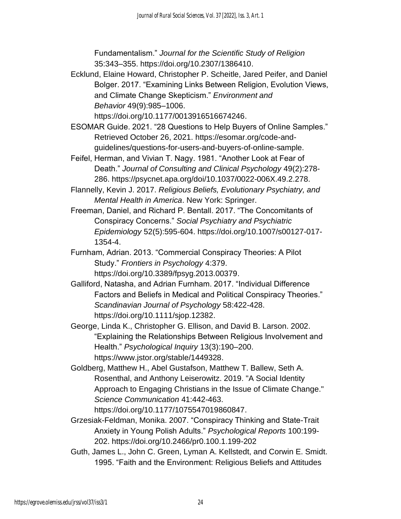Fundamentalism." *Journal for the Scientific Study of Religion* 35:343–355. https://doi.org/10.2307/1386410.

Ecklund, Elaine Howard, Christopher P. Scheitle, Jared Peifer, and Daniel Bolger. 2017. "Examining Links Between Religion, Evolution Views, and Climate Change Skepticism." *Environment and Behavior* 49(9):985–1006.

https://doi.org/10.1177/0013916516674246.

- ESOMAR Guide. 2021. "28 Questions to Help Buyers of Online Samples." Retrieved October 26, 2021. https://esomar.org/code-andguidelines/questions-for-users-and-buyers-of-online-sample.
- Feifel, Herman, and Vivian T. Nagy. 1981. "Another Look at Fear of Death." *Journal of Consulting and Clinical Psychology* 49(2):278- 286. https://psycnet.apa.org/doi/10.1037/0022-006X.49.2.278.
- Flannelly, Kevin J. 2017. *Religious Beliefs, Evolutionary Psychiatry, and Mental Health in America*. New York: Springer.
- Freeman, Daniel, and Richard P. Bentall. 2017. "The Concomitants of Conspiracy Concerns." *Social Psychiatry and Psychiatric Epidemiology* 52(5):595-604. https://doi.org/10.1007/s00127-017- 1354-4.
- Furnham, Adrian. 2013. "Commercial Conspiracy Theories: A Pilot Study." *Frontiers in Psychology* 4:379. https://doi.org/10.3389/fpsyg.2013.00379.
- Galliford, Natasha, and Adrian Furnham. 2017. "Individual Difference Factors and Beliefs in Medical and Political Conspiracy Theories." *Scandinavian Journal of Psychology* 58:422-428. https://doi.org/10.1111/sjop.12382.
- George, Linda K., Christopher G. Ellison, and David B. Larson. 2002. "Explaining the Relationships Between Religious Involvement and Health." *Psychological Inquiry* 13(3):190–200. https://www.jstor.org/stable/1449328.
- Goldberg, Matthew H., Abel Gustafson, Matthew T. Ballew, Seth A. Rosenthal, and Anthony Leiserowitz. 2019. "A Social Identity Approach to Engaging Christians in the Issue of Climate Change." *Science Communication* 41:442-463.

https://doi.org/10.1177/1075547019860847.

- Grzesiak-Feldman, Monika. 2007. "Conspiracy Thinking and State-Trait Anxiety in Young Polish Adults." *Psychological Reports* 100:199- 202. https://doi.org/10.2466/pr0.100.1.199-202
- Guth, James L., John C. Green, Lyman A. Kellstedt, and Corwin E. Smidt. 1995. "Faith and the Environment: Religious Beliefs and Attitudes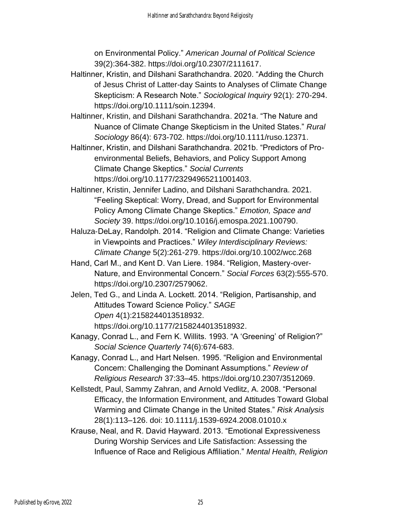on Environmental Policy." *American Journal of Political Science* 39(2):364-382. https://doi.org/10.2307/2111617.

- Haltinner, Kristin, and Dilshani Sarathchandra. 2020. "Adding the Church of Jesus Christ of Latter-day Saints to Analyses of Climate Change Skepticism: A Research Note." *Sociological Inquiry* 92(1): 270-294. https://doi.org/10.1111/soin.12394.
- Haltinner, Kristin, and Dilshani Sarathchandra. 2021a. "The Nature and Nuance of Climate Change Skepticism in the United States." *Rural Sociology* 86(4): 673-702. https://doi.org/10.1111/ruso.12371.
- Haltinner, Kristin, and Dilshani Sarathchandra. 2021b. "Predictors of Proenvironmental Beliefs, Behaviors, and Policy Support Among Climate Change Skeptics." *Social Currents* https://doi.org/10.1177/23294965211001403.
- Haltinner, Kristin, Jennifer Ladino, and Dilshani Sarathchandra. 2021. "Feeling Skeptical: Worry, Dread, and Support for Environmental Policy Among Climate Change Skeptics." *Emotion, Space and Society* 39. https://doi.org/10.1016/j.emospa.2021.100790.
- Haluza‐DeLay, Randolph. 2014. "Religion and Climate Change: Varieties in Viewpoints and Practices." *Wiley Interdisciplinary Reviews: Climate Change* 5(2):261-279. https://doi.org/10.1002/wcc.268
- Hand, Carl M., and Kent D. Van Liere. 1984. "Religion, Mastery-over-Nature, and Environmental Concern." *Social Forces* 63(2):555-570. https://doi.org/10.2307/2579062.
- Jelen, Ted G., and Linda A. Lockett. 2014. "Religion, Partisanship, and Attitudes Toward Science Policy." *SAGE Open* 4(1):2158244013518932. https://doi.org/10.1177/2158244013518932.
- Kanagy, Conrad L., and Fern K. Willits. 1993. "A 'Greening' of Religion?" *Social Science Quarterly* 74(6):674-683.
- Kanagy, Conrad L., and Hart Nelsen. 1995. "Religion and Environmental Concern: Challenging the Dominant Assumptions." *Review of Religious Research* 37:33–45. https://doi.org/10.2307/3512069.
- Kellstedt, Paul, Sammy Zahran, and Arnold Vedlitz, A. 2008. "Personal Efficacy, the Information Environment, and Attitudes Toward Global Warming and Climate Change in the United States." *Risk Analysis* 28(1):113–126. doi: 10.1111/j.1539-6924.2008.01010.x
- Krause, Neal, and R. David Hayward. 2013. "Emotional Expressiveness During Worship Services and Life Satisfaction: Assessing the Influence of Race and Religious Affiliation." *Mental Health, Religion*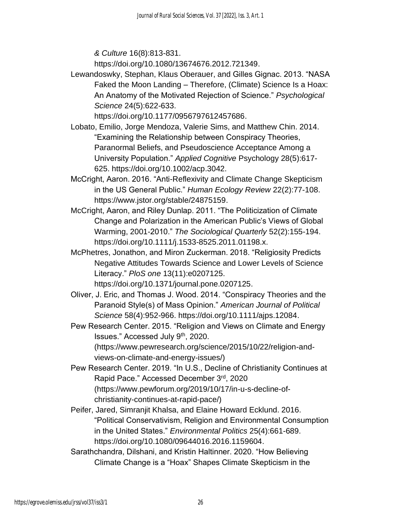*& Culture* 16(8):813-831.

https://doi.org/10.1080/13674676.2012.721349.

Lewandoswky, Stephan, Klaus Oberauer, and Gilles Gignac. 2013. "NASA Faked the Moon Landing – Therefore, (Climate) Science Is a Hoax: An Anatomy of the Motivated Rejection of Science." *Psychological Science* 24(5):622-633.

https://doi.org/10.1177/0956797612457686.

- Lobato, Emilio, Jorge Mendoza, Valerie Sims, and Matthew Chin. 2014. "Examining the Relationship between Conspiracy Theories, Paranormal Beliefs, and Pseudoscience Acceptance Among a University Population." *Applied Cognitive* Psychology 28(5):617- 625. https://doi.org/10.1002/acp.3042.
- McCright, Aaron. 2016. "Anti-Reflexivity and Climate Change Skepticism in the US General Public." *Human Ecology Review* 22(2):77-108. https://www.jstor.org/stable/24875159.
- McCright, Aaron, and Riley Dunlap. 2011. "The Politicization of Climate Change and Polarization in the American Public's Views of Global Warming, 2001-2010." *The Sociological Quarterly* 52(2):155-194. https://doi.org/10.1111/j.1533-8525.2011.01198.x.
- McPhetres, Jonathon, and Miron Zuckerman. 2018. "Religiosity Predicts Negative Attitudes Towards Science and Lower Levels of Science Literacy." *PloS one* 13(11):e0207125. https://doi.org/10.1371/journal.pone.0207125.
- Oliver, J. Eric, and Thomas J. Wood. 2014. "Conspiracy Theories and the Paranoid Style(s) of Mass Opinion." *American Journal of Political Science* 58(4):952-966. https://doi.org/10.1111/ajps.12084.
- Pew Research Center. 2015. "Religion and Views on Climate and Energy Issues." Accessed July 9th, 2020. (https://www.pewresearch.org/science/2015/10/22/religion-and
	- views-on-climate-and-energy-issues/)
- Pew Research Center. 2019. "In U.S., Decline of Christianity Continues at Rapid Pace." Accessed December 3rd, 2020 (https://www.pewforum.org/2019/10/17/in-u-s-decline-ofchristianity-continues-at-rapid-pace/)
- Peifer, Jared, Simranjit Khalsa, and Elaine Howard Ecklund. 2016. "Political Conservativism, Religion and Environmental Consumption in the United States." *Environmental Politics* 25(4):661-689. https://doi.org/10.1080/09644016.2016.1159604.
- Sarathchandra, Dilshani, and Kristin Haltinner. 2020. "How Believing Climate Change is a "Hoax" Shapes Climate Skepticism in the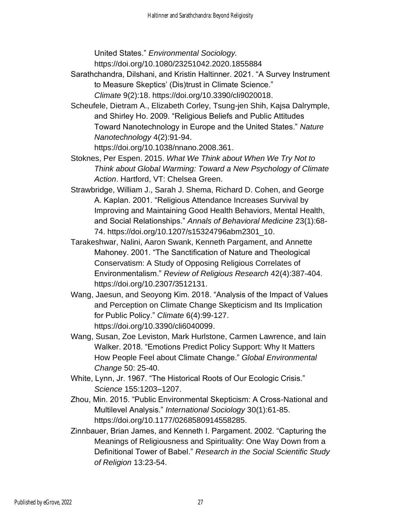United States." *Environmental Sociology.* 

https://doi.org/10.1080/23251042.2020.1855884

Sarathchandra, Dilshani, and Kristin Haltinner. 2021. "A Survey Instrument to Measure Skeptics' (Dis)trust in Climate Science."

*Climate* 9(2):18. https://doi.org/10.3390/cli9020018.

Scheufele, Dietram A., Elizabeth Corley, Tsung-jen Shih, Kajsa Dalrymple, and Shirley Ho. 2009. "Religious Beliefs and Public Attitudes Toward Nanotechnology in Europe and the United States." *Nature Nanotechnology* 4(2):91-94.

https://doi.org/10.1038/nnano.2008.361.

- Stoknes, Per Espen. 2015. *What We Think about When We Try Not to Think about Global Warming: Toward a New Psychology of Climate Action*. Hartford, VT: Chelsea Green.
- Strawbridge, William J., Sarah J. Shema, Richard D. Cohen, and George A. Kaplan. 2001. "Religious Attendance Increases Survival by Improving and Maintaining Good Health Behaviors, Mental Health, and Social Relationships." *Annals of Behavioral Medicine* 23(1):68- 74. https://doi.org/10.1207/s15324796abm2301\_10.
- Tarakeshwar, Nalini, Aaron Swank, Kenneth Pargament, and Annette Mahoney. 2001. "The Sanctification of Nature and Theological Conservatism: A Study of Opposing Religious Correlates of Environmentalism." *Review of Religious Research* 42(4):387-404. https://doi.org/10.2307/3512131.
- Wang, Jaesun, and Seoyong Kim. 2018. "Analysis of the Impact of Values and Perception on Climate Change Skepticism and Its Implication for Public Policy." *Climate* 6(4):99-127. https://doi.org/10.3390/cli6040099.
- Wang, Susan, Zoe Leviston, Mark Hurlstone, Carmen Lawrence, and Iain Walker. 2018. "Emotions Predict Policy Support: Why It Matters How People Feel about Climate Change." *Global Environmental Change* 50: 25-40.
- White, Lynn, Jr. 1967. "The Historical Roots of Our Ecologic Crisis." *Science* 155:1203–1207.
- Zhou, Min. 2015. "Public Environmental Skepticism: A Cross-National and Multilevel Analysis." *International Sociology* 30(1):61-85. https://doi.org/10.1177/0268580914558285.
- Zinnbauer, Brian James, and Kenneth I. Pargament. 2002. "Capturing the Meanings of Religiousness and Spirituality: One Way Down from a Definitional Tower of Babel." *Research in the Social Scientific Study of Religion* 13:23-54.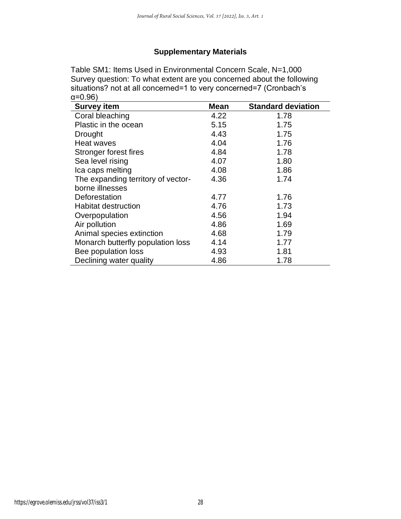### **Supplementary Materials**

Table SM1: Items Used in Environmental Concern Scale, N=1,000 Survey question: To what extent are you concerned about the following situations? not at all concerned=1 to very concerned=7 (Cronbach's α=0.96)

| <b>Survey item</b>                 | <b>Mean</b> | <b>Standard deviation</b> |
|------------------------------------|-------------|---------------------------|
| Coral bleaching                    | 4.22        | 1.78                      |
| Plastic in the ocean               | 5.15        | 1.75                      |
| Drought                            | 4.43        | 1.75                      |
| Heat waves                         | 4.04        | 1.76                      |
| Stronger forest fires              | 4.84        | 1.78                      |
| Sea level rising                   | 4.07        | 1.80                      |
| Ica caps melting                   | 4.08        | 1.86                      |
| The expanding territory of vector- | 4.36        | 1.74                      |
| borne illnesses                    |             |                           |
| Deforestation                      | 4.77        | 1.76                      |
| <b>Habitat destruction</b>         | 4.76        | 1.73                      |
| Overpopulation                     | 4.56        | 1.94                      |
| Air pollution                      | 4.86        | 1.69                      |
| Animal species extinction          | 4.68        | 1.79                      |
| Monarch butterfly population loss  | 4.14        | 1.77                      |
| Bee population loss                | 4.93        | 1.81                      |
| Declining water quality            | 4.86        | 1.78                      |